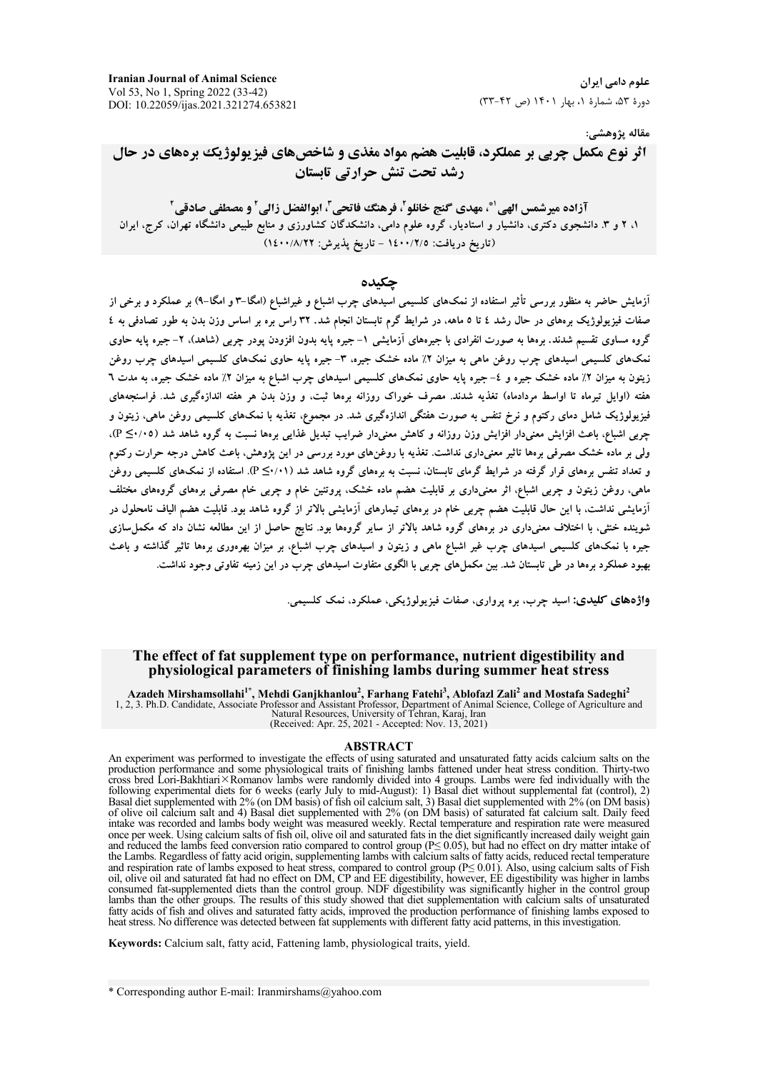**Iranian Journal of Animal Science** Vol 53, No 1, Spring 2022 (33-42) DOI: 10.22059/ijas.2021.321274.653821

علوم دامی ایران دورهٔ ۵۳، شمارهٔ ۱، بهار ۱۴۰۱ (ص ۴۲-۳۳)

مقاله پژوهشي:

اثر نوع مکمل چربی بر عملکرد، قابلیت هضم مواد مغذی و شاخصهای فیزیولوژیک برههای در حال رشد تحت تنش حرارتي تابستان

آزاده ميرشمس الهي أ\*، مهدي گنج خانلو ، فرهنگ فاتحي ، ابوالفضل زالي ' و مصطفى صادقي ' ۱، ۲ و ۳. دانشجوی دکتری، دانشیار و استادیار، گروه علوم دامی، دانشکدگان کشاورزی و منابع طبیعی دانشگاه تهران، کرج، ایران (تاريخ دريافت: ١٤٠٠/٢/٥ - تاريخ پذيرش: ١٤٠٠/٨/٢٢)

حكىدە

آزمایش حاضر به منظور بررسی تأثیر استفاده از نمکهای کلسیمی اسیدهای چرب اشباع و غیراشباع (امگا–۳ و امگا–۹) بر عملکرد و برخی از صفات فیزیولوژیک برههای در حال رشد ٤ تا ٥ ماهه، در شرایط گرم تابستان انجام شد. ٣٢ راس بره بر اساس وزن بدن به طور تصادفی به ٤ گروه مساوی تقسیم شدند. برهها به صورت انفرادی با جیرههای آزمایشی ۱–جیره پایه بدون افزودن پودر چربی (شاهد)، ۲–جیره پایه حاوی نمکهای کلسیمی اسیدهای چرب روغن ماهی به میزان ۲٪ ماده خشک جیره، ۳- جیره یایه حاوی نمکهای کلسیمی اسیدهای چرب روغن زیتون به میزان ۲٪ ماده خشک جیره و ٤– جیره پایه حاوی نمکهای کلسیمی اسیدهای چرب اشباع به میزان ۲٪ ماده خشک جیره، به مدت ٦ هفته (اوایل تیرماه تا اواسط مردادماه) تغذیه شدند. مصرف خوراک روزانه برهها ثبت، و وزن بدن هر هفته اندازهگیری شد. فراسنجههای فیزیولوژیک شامل دمای رکتوم و نرخ تنفس به صورت هفتگی اندازهگیری شد. در مجموع، تغذیه با نمکهای کلسیمی روغن ماهی، زیتون و چربی اشباع، باعث افزایش معنیدار افزایش وزن روزانه و کاهش معنیدار ضرایب تبدیل غذایی برهها نسبت به گروه شاهد شد (۴/۰۵−)، ولی بر ماده خشک مصرفی برهها تاثیر معنیداری نداشت. تغذیه با روغنهای مورد بررسی در این یژوهش، باعث کاهش درجه حرارت رکتوم و تعداد تنفس برههای قرار گرفته در شرایط گرمای تابستان. نسبت به برههای گروه شاهد شد (۱۰/۰≥ P). استفاده از نمکهای کلسیمی روغن ماهی، روغن زیتون و چربی اشباع، اثر معنیداری بر قابلیت هضم ماده خشک، پروتئین خام و چربی خام مصرفی برههای گروههای مختلف آزمایشی نداشت، با این حال قابلیت هضم جربی خام در برههای تیمارهای آزمایشی بالاتر از گروه شاهد بود. قابلیت هضم الیاف نامحلول در شوینده خنثی، با اختلاف معنیداری در برههای گروه شاهد بالاتر از سایر گروهها بود. نتایج حاصل از این مطالعه نشان داد که مکمل $\omega$ ازی جیره با نمکهای کلسیمی اسیدهای چرب غیر اشباع ماهی و زیتون و اسیدهای چرب اشباع، بر میزان بهرهوری برهها تاثیر گذاشته و باعث بهبود عملکرد برهها در طی تابستان شد. بین مکملهای چربی با الگوی متفاوت اسیدهای چرب در این زمینه تفاوتی وجود نداشت.

واژههای کلیدی: اسید چرب، بره پرواری، صفات فیزیولوژیکی، عملکرد، نمک کلسیمی.

## The effect of fat supplement type on performance, nutrient digestibility and physiological parameters of finishing lambs during summer heat stress

Azadeh Mirshamsollahi<sup>1\*</sup>, Mehdi Ganjkhanlou<sup>2</sup>, Farhang Fatehi<sup>3</sup>, Ablofazl Zali<sup>2</sup> and Mostafa Sadeghi<sup>2</sup><br>1, 2, 3. Ph.D. Candidate, Associate Professor and Assistant Professor, Department of Animal Science, College of Ag

#### **ABSTRACT**

An experiment was performed to investigate the effects of using saturated and unsaturated fatty acids calcium salts on the production performance and some physiological traits of finishing lambs fattened under heat stress cross bred Lori-Bakhtiari×Romanov lambs were randomly divided into 4 groups. Lambs were fed individually with the following experimental diets for 6 weeks (early July to mid-August): 1) Basal diet without supplemental fat Basal diet supplemented with 2% (on DM basis) of fish oil calcium salt, 3) Basal diet supplemented with 2% (on DM basis) of fish oil calcium salt, 3) Basal diet supplemented with 2% (on DM basis) of olive oil calcium salt intake was recorded and lambs body weight was measured weekly. Rectal temperature and respiration rate were measured once per week. Using calcium salts of fish oil, olive oil and saturated fats in the diet significantly increased daily weight gain and reduced the lambs feed conversion ratio compared to control group ( $P \le 0.05$ ), but had no effect on dry matter intake of the Lambs. Regardless of fatty acid origin, supplementing lambs with calcium salts of fatty acids, reduced rectal temperature and respiration rate of lambs exposed to heat stress, compared to control group ( $P \le 0.01$ ). Also, using calcium salts of Fish<br>oil, olive oil and saturated fat had no effect on DM, CP and EE digestibility, however, EE di lambs than the other groups. The results of this study showed that diet supplementation with calcium salts of unsaturated<br>fatty acids of fish and olives and saturated fatty acids, improved the production performance of fin

Keywords: Calcium salt, fatty acid, Fattening lamb, physiological traits, vield,

\* Corresponding author E-mail: Iranmirshams@yahoo.com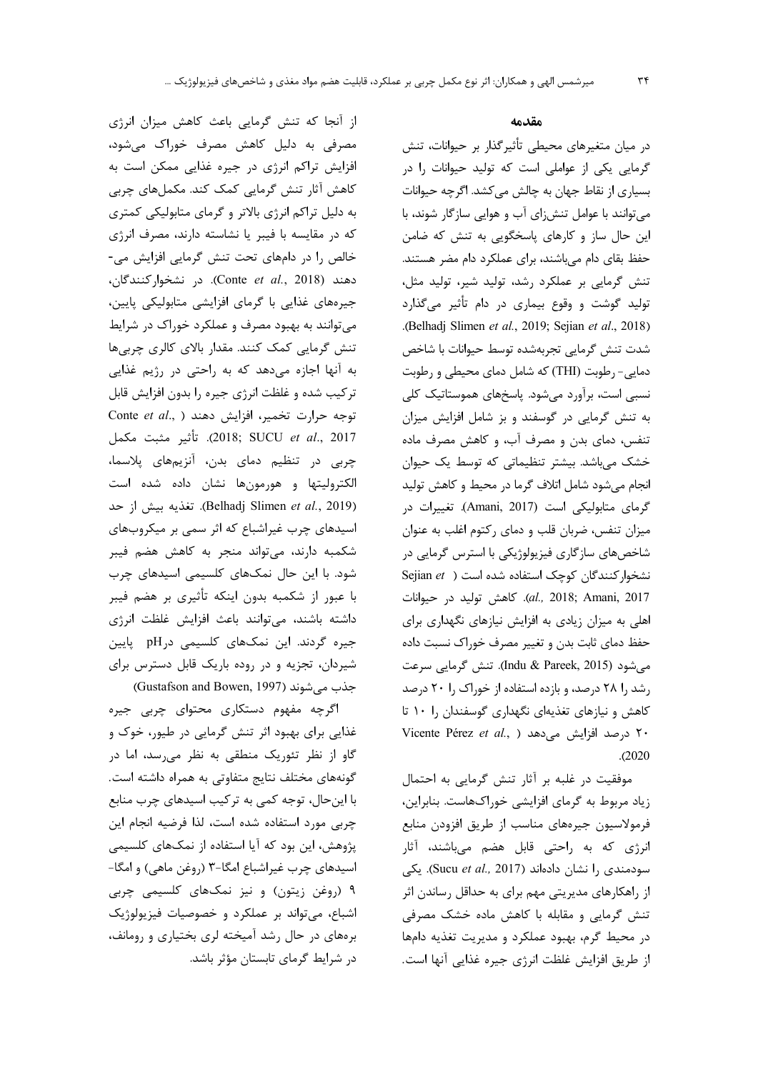از آنجا که تنش گرمایی باعث کاهش میزان انرژی مصرفی به دلیل کاهش مصرف خوراک میشود، افزایش تراکم انرژی در جیره غذایی ممکن است به کاهش آثار تنش گرمایی کمک کند. مکملهای چربی به دلیل تراکم انرژی بالاتر و گرمای متابولیکی کمتری که در مقایسه با فیبر یا نشاسته دارند، مصرف انرژی خالص را در دامهای تحت تنش گرمایی افزایش می-دهند (Conte et al., 2018). در نشخواركنندگان، جیرههای غذایی با گرمای افزایشی متابولیکی پایین، می توانند به بهبود مصرف و عملکرد خوراک در شرایط تنش گرمایی کمک کنند. مقدار بالای کالری چربیها به آنها اجازه میدهد که به راحتی در رژیم غذایی ترکیب شده و غلظت انرژی جیره را بدون افزایش قابل Conte et al., ) دوارت تخمیر، افزایش دهند 2017). تأثير مثبت مكمل (2018; SUCU et al., 2017 چربی در تنظیم دمای بدن، آنزیمهای پلاسما، الكتروليتها و هورمونها نشان داده شده است (Belhadj Slimen et al., 2019). تغذيه بيش از حد اسیدهای چرب غیراشباع که اثر سمی بر میکروبهای شکمبه دارند، می تواند منجر به کاهش هضم فیبر شود. با این حال نمکهای کلسیمی اسیدهای چرب با عبور از شکمبه بدون اینکه تأثیری بر هضم فیبر داشته باشند، میتوانند باعث افزایش غلظت انرژی جیره گردند. این نمکهای کلسیمی درpH پایین شیردان، تجزیه و در روده باریک قابل دسترس برای (Gustafson and Bowen, 1997) جذب می شوند

اگرچه مفهوم دستکاری محتوای چربی جیره غذایی برای بهبود اثر تنش گرمایی در طیور، خوک و گاو از نظر تئوریک منطقی به نظر می رسد، اما در گونههای مختلف نتایج متفاوتی به همراه داشته است. با این حال، توجه کمی به ترکیب اسیدهای چرب منابع چربی مورد استفاده شده است، لذا فرضیه انجام این پژوهش، این بود که آیا استفاده از نمکهای کلسیمی اسیدهای چرب غیراشباع امگا-۳ (روغن ماهی) و امگا-۹ (روغن زیتون) و نیز نمکهای کلسیمی چربی اشباع، می تواند بر عملکرد و خصوصیات فیزیولوژیک برههای در حال رشد آمیخته لری بختیاری و رومانف، در شرایط گرمای تابستان مؤثر باشد.

# مقدمه

در میان متغیرهای محیطی تأثیرگذار بر حیوانات، تنش گرمایی یکی از عواملی است که تولید حیوانات را در بسیاری از نقاط جهان به چالش میکشد. اگرچه حیوانات می توانند با عوامل تنش زای آب و هوایی سازگار شوند، با این حال ساز و کارهای پاسخگویی به تنش که ضامن حفظ بقای دام می باشند، برای عملکرد دام مضر هستند. تنش گرمایی بر عملکرد رشد، تولید شیر، تولید مثل، تولید گوشت و وقوع بیماری در دام تأثیر میگذارد .(Belhadj Slimen et al., 2019; Sejian et al., 2018) شدت تنش گرمايي تجربهشده توسط حيوانات با شاخص دمایی- رطوبت (THI) که شامل دمای محیطی و رطوبت نسبی است، برآورد می شود. پاسخهای هموستاتیک کلی به تنش گرمایی در گوسفند و بز شامل افزایش میزان تنفس، دمای بدن و مصرف آب، و کاهش مصرف ماده خشک میباشد. بیشتر تنظیماتی که توسط یک حیوان انجام می شود شامل اتلاف گرما در محیط و کاهش تولید گرمای متابولیکی است (Amani, 2017). تغییرات در میزان تنفس، ضربان قلب و دمای رکتوم اغلب به عنوان شاخصهای سازگاری فیزیولوژیکی با استرس گرمایی در Sejian et ) نشخوار کنندگان کوچک استفاده شده است al., 2018; Amani, 2017). كاهش توليد در حيوانات اهلی به میزان زیادی به افزایش نیازهای نگهداری برای حفظ دمای ثابت بدن و تغییر مصرف خوراک نسبت داده می شود (Indu & Pareek, 2015). تنش گرمایی سرعت رشد ,ا ۲۸ درصد، و بازده استفاده از خوراک ,ا ۲۰ درصد کاهش و نیازهای تغذیهای نگهداری گوسفندان را ۱۰ تا ٢٠ درصد افزايش مى دهد ( Vicente Pérez et al., )  $. (2020)$ 

موفقیت در غلبه بر آثار تنش گرمایی به احتمال زیاد مربوط به گرمای افزایشی خوراکهاست. بنابراین، فرمولاسيون جيرههاى مناسب از طريق افزودن منابع انرژی که به راحتی قابل هضم میباشند، آثار سودمندی را نشان دادهاند (Sucu et al., 2017). یکی از راهکارهای مدیریتی مهم برای به حداقل رساندن اثر تنش گرمایی و مقابله با کاهش ماده خشک مصرفی در محیط گرم، بهبود عملکرد و مدیریت تغذیه دامها از طريق افزايش غلظت انرژى جيره غذايي آنها است.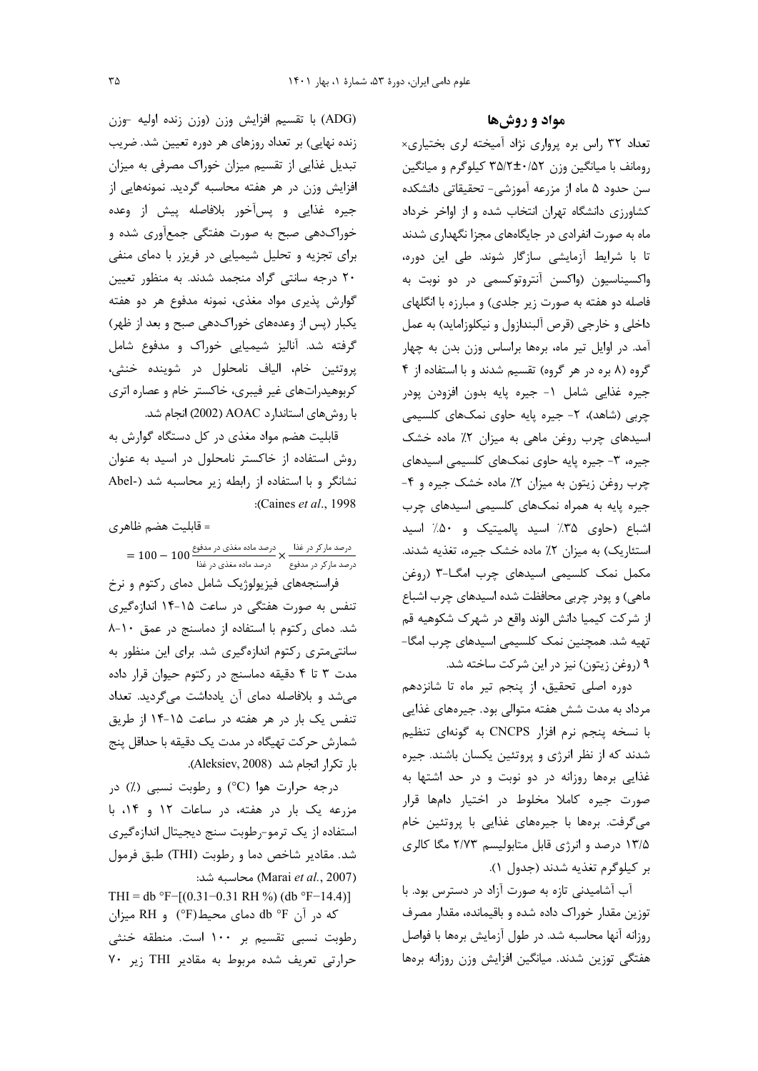(ADG) با تقسیم افزایش وزن (وزن زنده اولیه -وزن زنده نهایی) بر تعداد روزهای هر دوره تعیین شد. ضریب تبدیل غذایی از تقسیم میزان خوراک مصرفی به میزان افزایش وزن در هر هفته محاسبه گردید. نمونههایی از جيره غذايي و پسأخور بلافاصله پيش از وعده خوراکدهی صبح به صورت هفتگی جمعآوری شده و برای تجزیه و تحلیل شیمیایی در فریزر با دمای منفی ٢٠ درجه سانتي گراد منجمد شدند. به منظور تعيين گوارش پذیری مواد مغذی، نمونه مدفوع هر دو هفته یکبار (پس از وعدههای خوراکدهی صبح و بعد از ظهر) گرفته شد. آنالیز شیمیایی خوراک و مدفوع شامل پروتئين خام، الياف نامحلول در شوينده خنثى، کربوهیدراتهای غیر فیبری، خاکستر خام و عصاره اتری با روشهای استاندارد AOAC (2002) انجام شد.

قابلیت هضم مواد مغذی در کل دستگاه گوارش به روش استفاده از خاکستر نامحلول در اسید به عنوان نشانگر و با استفاده از رابطه زیر محاسبه شد (-Abel :(Caines et al., 1998

= قابلیت هضم ظاهر ی

درصد مارکر در غذا × درصد ماده مغذی در مدفوع 100 — 100 =<br>درصد مارکر در مدفوع × درصد ماده مغذی در غذا

فراسنجههای فیزیولوژیک شامل دمای رکتوم و نرخ تنفس به صورت هفتگی در ساعت ۱۵-۱۴ اندازهگیری شد. دمای رکتوم با استفاده از دماسنج در عمق ١٠-٨ سانتے متری رکتوم اندازہگیری شد. برای این منظور به مدت ۳ تا ۴ دقیقه دماسنج در رکتوم حیوان قرار داده می شد و بلافاصله دمای آن یادداشت میگردید. تعداد تنفس یک بار در هر هفته در ساعت ۱۵-۱۴ از طریق شمارش حرکت تهیگاه در مدت یک دقیقه با حداقل پنج با, تكرار انجام شد (Aleksiev, 2008).

درجه حرارت هوا (°C) و رطوبت نسبی (٪) در مزرعه یک بار در هفته، در ساعات ١٢ و ١۴، با استفاده از یک ترمو-رطوبت سنج دیجیتال اندازهگیری شد. مقادیر شاخص دما و رطوبت (THI) طبق فرمول (Marai et al., 2007) محاسبه شد:

THI = db °F-[(0.31-0.31 RH %) (db °F-14.4)] که در آن db °F دمای محیط(F°) و RH میزان رطوبت نسبی تقسیم بر ۱۰۰ است. منطقه خنثی حرارتی تعریف شده مربوط به مقادیر THI زیر ۷۰

مواد و روشها

تعداد ۳۲ راس بره پرواری نژاد آمیخته لری بختیاری× رومانف با میانگین وزن ۳۵/۲±۰/۵۲ کیلوگرم و میانگین سن حدود ۵ ماه از مزرعه آموزشی- تحقیقاتی دانشکده کشاورزی دانشگاه تهران انتخاب شده و از اواخر خرداد ماه به صورت انفرادی در جایگاههای مجزا نگهداری شدند تا با شرایط آزمایشی سازگار شوند. طی این دوره، واکسیناسیون (واکسن آنتروتوکسمی در دو نوبت به فاصله دو هفته به صورت زیر جلدی) و مبارزه با انگلهای داخلي و خارجي (قرص آلبندازول و نيكلوزامايد) به عمل آمد. در اوایل تیر ماه، برهها براساس وزن بدن به چهار گروه (۸ بره در هر گروه) تقسیم شدند و با استفاده از ۴ جيره غذايي شامل ١- جيره پايه بدون افزودن پودر چربی (شاهد)، ۲- جیره پایه حاوی نمکهای کلسیمی اسیدهای چرب روغن ماهی به میزان ۲٪ ماده خشک جیرہ، ۳- جیرہ پایه حاوی نمکھای کلسیمی اسیدھای چرب روغن زیتون به میزان ۲٪ ماده خشک جیره و ۴-جیره پایه به همراه نمکهای کلسیمی اسیدهای چرب اشباع (حاوى ٣۵٪ اسيد پالميتيک و ٥٠٪ اسيد استئاریک) به میزان ۲٪ ماده خشک جیره، تغذیه شدند. مکمل نمک کلسیمی اسیدهای چرب امگا-۳ (روغن ماهی) و پودر چربی محافظت شده اسیدهای چرب اشباع از شركت كيميا دانش الوند واقع در شهرك شكوهيه قم تهیه شد. همچنین نمک کلسیمی اسیدهای چرب امگا-۹ (روغن زيتون) نيز در اين شركت ساخته شد.

دوره اصلی تحقیق، از پنجم تیر ماه تا شانزدهم مرداد به مدت شش هفته متوالی بود. جیرههای غذایی با نسخه پنجم نرم افزار CNCPS به گونهای تنظیم شدند که از نظر انرژی و پروتئین یکسان باشند. جیره غذایی برهها روزانه در دو نوبت و در حد اشتها به صورت جیره کاملا مخلوط در اختیار دامها قرار میگرفت. برهها با جیرههای غذایی با پروتئین خام ۱۳/۵ درصد و انرژی قابل متابولیسم ۲/۷۳ مگا کالری بر كيلوگرم تغذيه شدند (جدول ١).

آب آشامیدنی تازه به صورت آزاد در دسترس بود. با توزین مقدار خوراک داده شده و باقیمانده، مقدار مصرف روزانه آنها محاسبه شد. در طول آزمایش برهها با فواصل هفتگی توزین شدند. میانگین افزایش وزن روزانه برهها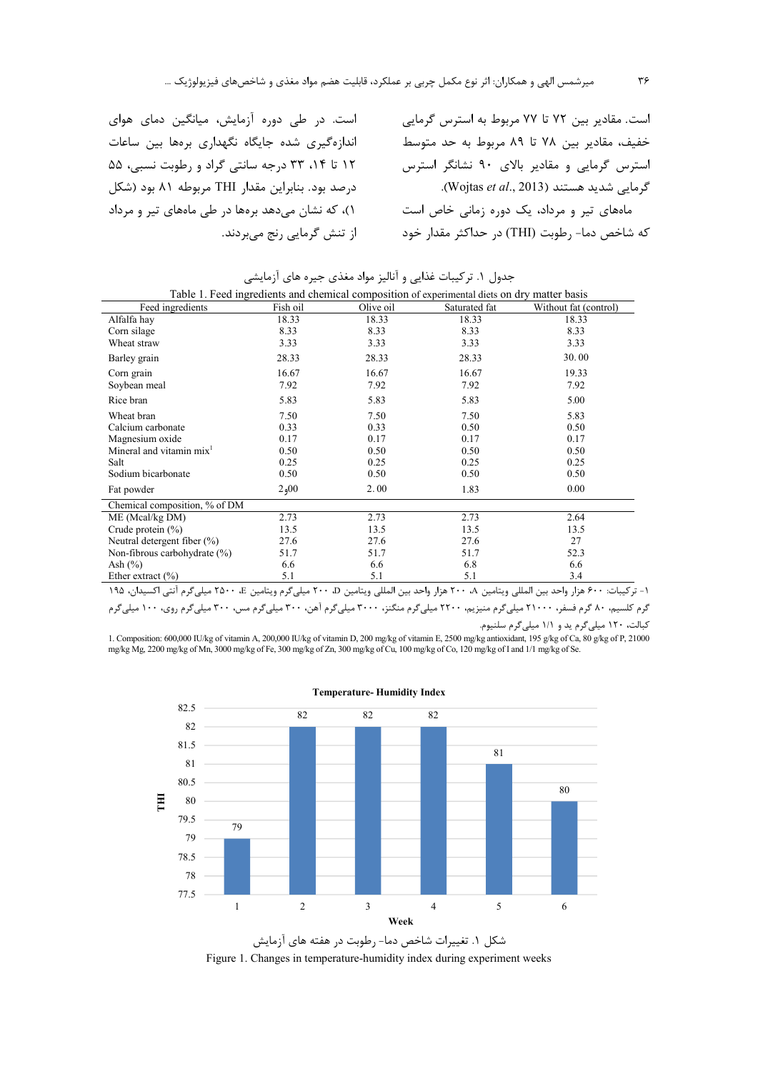است. در طی دوره آزمایش، میانگین دمای هوای اندازهگیری شده جایگاه نگهداری برهها بین ساعات ١٢ تا ٢٣، ٣٣ درجه سانتي گراد و رطوبت نسبي، ۵۵ درصد بود. بنابراین مقدار THI مربوطه ۸۱ بود (شکل ۰)، که نشان می دهد بر مها در طی مامهای تیر و مرداد از تنش گرمایی رنج میبردند.

است. مقادیر بین ۷۲ تا ۷۷ مربوط به استرس گرمایی خفيف، مقادير بين ٧٨ تا ٨٩ مربوط به حد متوسط استرس گرمایی و مقادیر بالای ۹۰ نشانگر استرس گرمایی شدید هستند (Wojtas *et al.*, 2013). ماههای تیر و مرداد، یک دوره زمانی خاص است که شاخص دما- رطوبت (THI) در حداکثر مقدار خود

جدول ۱. تركيبات غذايي و آناليز مواد مغذي جيره هاي آزمايشي

| Table 1. Feed ingredients and chemical composition of experimental diets on dry matter basis |          |           |               |                       |  |  |  |
|----------------------------------------------------------------------------------------------|----------|-----------|---------------|-----------------------|--|--|--|
| Feed ingredients                                                                             | Fish oil | Olive oil | Saturated fat | Without fat (control) |  |  |  |
| Alfalfa hay                                                                                  | 18.33    | 18.33     | 18.33         | 18.33                 |  |  |  |
| Corn silage                                                                                  | 8.33     | 8.33      | 8.33          | 8.33                  |  |  |  |
| Wheat straw                                                                                  | 3.33     | 3.33      | 3.33          | 3.33                  |  |  |  |
| Barley grain                                                                                 | 28.33    | 28.33     | 28.33         | 30.00                 |  |  |  |
| Corn grain                                                                                   | 16.67    | 16.67     | 16.67         | 19.33                 |  |  |  |
| Soybean meal                                                                                 | 7.92     | 7.92      | 7.92          | 7.92                  |  |  |  |
| Rice bran                                                                                    | 5.83     | 5.83      | 5.83          | 5.00                  |  |  |  |
| Wheat bran                                                                                   | 7.50     | 7.50      | 7.50          | 5.83                  |  |  |  |
| Calcium carbonate                                                                            | 0.33     | 0.33      | 0.50          | 0.50                  |  |  |  |
| Magnesium oxide                                                                              | 0.17     | 0.17      | 0.17          | 0.17                  |  |  |  |
| Mineral and vitamin mix <sup>1</sup>                                                         | 0.50     | 0.50      | 0.50          | 0.50                  |  |  |  |
| Salt                                                                                         | 0.25     | 0.25      | 0.25          | 0.25                  |  |  |  |
| Sodium bicarbonate                                                                           | 0.50     | 0.50      | 0.50          | 0.50                  |  |  |  |
| Fat powder                                                                                   | 2,00     | 2.00      | 1.83          | 0.00                  |  |  |  |
| Chemical composition, % of DM                                                                |          |           |               |                       |  |  |  |
| ME (Mcal/kg DM)                                                                              | 2.73     | 2.73      | 2.73          | 2.64                  |  |  |  |
| Crude protein $(\% )$                                                                        | 13.5     | 13.5      | 13.5          | 13.5                  |  |  |  |
| Neutral detergent fiber $(\%)$                                                               | 27.6     | 27.6      | 27.6          | 27                    |  |  |  |
| Non-fibrous carbohydrate (%)                                                                 | 51.7     | 51.7      | 51.7          | 52.3                  |  |  |  |
| Ash $(\%)$                                                                                   | 6.6      | 6.6       | 6.8           | 6.6                   |  |  |  |
| Ether extract $(\% )$                                                                        | 5.1      | 5.1       | 5.1           | 3.4                   |  |  |  |

11 - تركيبات: ۶۰۰ هزار واحد بين المللي ويتامين A۰ ۲۰۰ هزار واحد بين المللي ويتامين C، ۲۰۰ ميليگرم ويتامين K۵۰۰ E- ميليگرم آنتي اكسيدان، ۱۹۵ گرم کلسیم، ۸۰ گرم فسفر، ۲۱۰۰۰ میلیگرم منیزیم، ۲۲۰۰ میلیگرم تاسیگرم آهن، ۳۰۰ میلیگرم مس، ۳۰۰ میلیگرم روی، ۱۰۰ میلیگرم کبالت، ۱۲۰ میلی گرم ید و ۱/۱ میلی گرم سلنیوم.

1. Composition: 600,000 IU/kg of vitamin A, 200,000 IU/kg of vitamin D, 200 mg/kg of vitamin E, 2500 mg/kg antioxidant, 195 g/kg of Ca, 80 g/kg of P, 21000 mg/kg Mg, 2200 mg/kg of Mn, 3000 mg/kg of Fe, 300 mg/kg of Zn, 300 mg/kg of Cu, 100 mg/kg of Co, 120 mg/kg of I and 1/1 mg/kg of Se.





Figure 1. Changes in temperature-humidity index during experiment weeks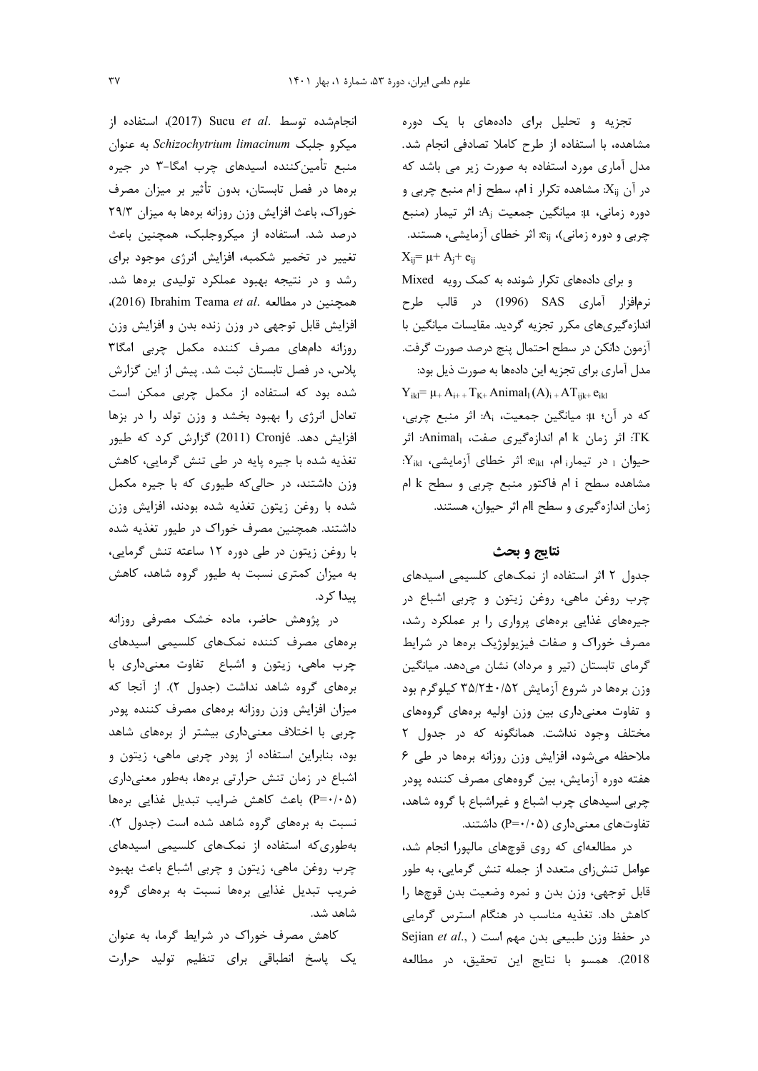انجام شده توسط .Sucu et al (2017)، استفاده از میکرو جلبک Schizochytrium limacinum به عنوان منبع تأمین *ک*ننده اسیدهای چرب امگا-۳ در جیره برەھا در فصل تابستان، بدون تأثیر بر میزان مصرف خوراک، باعث افزایش وزن روزانه برهها به میزان ٢٩/٣ درصد شد. استفاده از میکروجلبک، همچنین باعث تغییر در تخمیر شکمبه، افزایش انرژی موجود برای رشد و در نتیجه بهبود عملکرد تولیدی برهها شد. همچنین در مطالعه .(2016) Ibrahim Teama et al. افزایش قابل توجهی در وزن زنده بدن و افزایش وزن روزانه دامهای مصرف کننده مکمل چربی امگا۳ پلاس، در فصل تابستان ثبت شد. پیش از این گزارش شده بود که استفاده از مکمل چربی ممکن است تعادل انرژی را بهبود بخشد و وزن تولد را در بزها افزایش دهد. Cronjé (2011) گزارش کرد که طیور تغذیه شده با جیره پایه در طی تنش گرمایی، کاهش وزن داشتند، در حالی که طیوری که با جیره مکمل شده با روغن زیتون تغذیه شده بودند، افزایش وزن داشتند. همچنین مصرف خوراک در طیور تغذیه شده با روغن زیتون در طی دوره ۱۲ ساعته تنش گرمایی، به میزان کمتری نسبت به طیور گروه شاهد، کاهش ييدا كر د.

در پژوهش حاضر، ماده خشک مصرفی روزانه برههای مصرف کننده نمکهای کلسیمی اسیدهای چرب ماهی، زیتون و اشباع تفاوت معنیداری با برههای گروه شاهد نداشت (جدول ۲). از آنجا که میزان افزایش وزن روزانه برههای مصرف کننده پودر چربی با اختلاف معنیداری بیشتر از برههای شاهد بود، بنابراین استفاده از پودر چربی ماهی، زیتون و اشباع در زمان تنش حرارتی برهها، بهطور معنیداری (P=٠/٠۵) باعث كاهش ضرايب تبديل غذايي برمها نسبت به برههای گروه شاهد شده است (جدول ٢). بهطوری که استفاده از نمکهای کلسیمی اسیدهای چرب روغن ماهي، زيتون و چربي اشباع باعث بهبود ضریب تبدیل غذایی برهها نسبت به برههای گروه شاهد شد.

کاهش مصرف خوراک در شرایط گرما، به عنوان یک پاسخ انطباقی برای تنظیم تولید حرارت

تجزیه و تحلیل برای دادههای با یک دوره مشاهده، با استفاده از طرح كاملا تصادفى انجام شد. مدل آماری مورد استفاده به صورت زیر می باشد که در آن X<sub>ii</sub>: مشاهده تکرار i ام، سطح j ام منبع چربی و  $P$ دوره زمانی، µ: میانگین جمعیت A: اثر تیمار (منبع چربی و دوره زمانی)، e<sub>ij</sub> اثر خطای آزمایشی، هستند.  $X_{ij} = \mu + A_i + e_{ij}$ 

و برای دادههای تکرار شونده به کمک رویه Mixed نرمافزار آماری SAS (1996) در قالب طرح اندازهگیریهای مکرر تجزیه گردید. مقایسات میانگین با آزمون دانكن در سطح احتمال پنج درصد صورت گرفت. مدل آماري براي تجزيه اين دادهها به صورت ذيل بود:

 $Y_{ikl} = \mu_+ A_{i^+} + T_{K^+} Animal_l(A)_{i^+} AT_{ijk^+}e_{ikl}$ كه در آن؛ µ: ميانگين جمعيت، A<sub>i</sub>: اثر منبع چربي، TK: اثر زمان k ام اندازهگیری صفت، Animal<sub>l</sub>: اثر حیوان 1 در تیمار ام، eikl و خطای آزمایشی، Yikl: مشاهده سطح i ام فاكتور منبع چربي و سطح k ام زمان اندازهگیری و سطح اام اثر حیوان، هستند.

## نتايج و بحث

جدول ۲ اثر استفاده از نمکهای کلسیمی اسیدهای چرب روغن ماهی، روغن زیتون و چربی اشباع در جیرههای غذایی برههای پرواری را بر عملکرد رشد، مصرف خوراک و صفات فیزیولوژیک برهها در شرایط گرمای تابستان (تیر و مرداد) نشان میدهد. میانگین وزن برمها در شروع آزمایش ۳۵/۲±۰/۵۲ کیلوگرم بود و تفاوت معنیداری بین وزن اولیه برههای گروههای مختلف وجود نداشت. همانگونه که در جدول ۲ ملاحظه میشود، افزایش وزن روزانه برهها در طی ۶ هفته دوره آزمایش، بین گروههای مصرف کننده پودر چربی اسیدهای چرب اشباع و غیراشباع با گروه شاهد، تفاوتهای معنیداری (P=٠/٠۵) داشتند.

در مطالعهای که روی قوچهای مالپورا انجام شد، عوامل تنش;ای متعدد از جمله تنش گرمایی، به طور قابل توجهي، وزن بدن و نمره وضعيت بدن قوچها را کاهش داد. تغذیه مناسب در هنگام استرس گرمایی Sejian et al., ) است ( Sejian et al., ) 2018). همسو با نتايج اين تحقيق، در مطالعه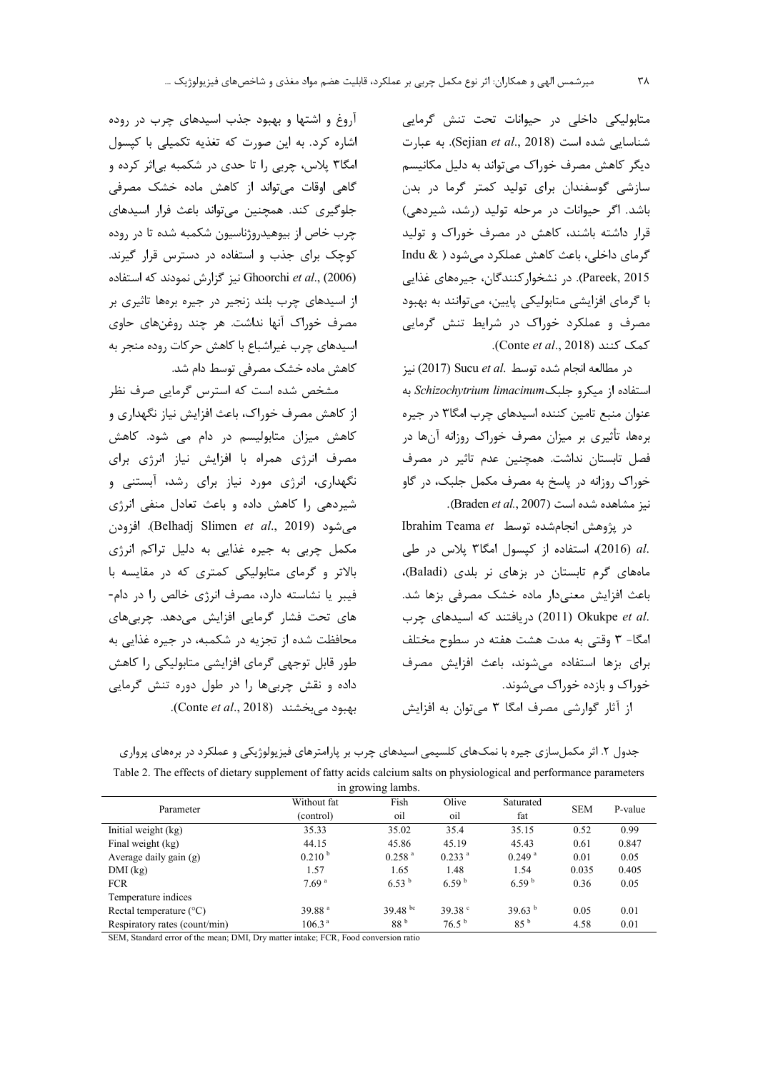متابولیکی داخلی در حیوانات تحت تنش گرمایی شناسایی شده است (Sejian et al., 2018). به عبارت دیگر کاهش مصرف خوراک می تواند به دلیل مکانیسم سازشی گوسفندان برای تولید کمتر گرما در بدن باشد. اگر حیوانات در مرحله تولید (رشد، شیردهی) قرار داشته باشند، کاهش در مصرف خوراک و تولید گرمای داخلی، باعث کاهش عملکرد میشود ( & Indu Pareek, 2015). در نشخواركنندگان، جيرەهاي غذايي با گرمای افزایشی متابولیکی پایین، میتوانند به بهبود مصرف و عملکرد خوراک در شرایط تنش گرمایی Conte et al., 2018).

در مطالعه انجام شده توسط .Sucu et al (2017) نيز استفاده از میکرو جلبک Schizochytrium limacinum به عنوان منبع تامین کننده اسیدهای چرب امگا۳ در جیره برهها، تأثیری بر میزان مصرف خوراک روزانه آنها در فصل تابستان نداشت. همچنین عدم تاثیر در مصرف خوراک روزانه در پاسخ به مصرف مکمل جلبک، در گاو نيز مشاهده شده است (Braden et al., 2007).

در يژوهش انجام شده توسط Ibrahim Teama et .al (2016)، استفاده از کیسول امگا۳ پلاس در طی ماههای گرم تابستان در بزهای نر بلدی (Baladi)، باعث افزایش معنی دار ماده خشک مصرفی بزها شد. .Okukpe et al (2011) دریافتند که اسیدهای چرب امگا- ۳ وقتی به مدت هشت هفته در سطوح مختلف برای بزها استفاده می شوند، باعث افزایش مصرف خوراک و بازده خوراک میشوند.

از آثار گوارشی مصرف امگا ۳ می توان به افزایش

آروغ و اشتها و بهبود جذب اسیدهای چرب در روده اشاره کرد. به این صورت که تغذیه تکمیلی با کپسول امگا۳ پلاس، چربی را تا حدی در شکمبه بیاثر کرده و گاهی اوقات می تواند از کاهش ماده خشک مصرفی جلوگیری کند. همچنین می تواند باعث فرار اسیدهای چرب خاص از بیوهیدروژناسیون شکمبه شده تا در روده کوچک برای جذب و استفاده در دسترس قرار گیرند. نیز گزارش نمودند که استفاده Ghoorchi et al., (2006) از اسیدهای چرب بلند زنجیر در جیره برهها تاثیری بر مصرف خوراک آنها نداشت. هر چند روغنهای حاوی اسیدهای چرب غیراشباع با کاهش حرکات روده منجر به كاهش ماده خشك مصرفى توسط دام شد.

مشخص شده است که استرس گرمایی صرف نظر از کاهش مصرف خوراک، باعث افزایش نیاز نگهداری و کاهش میزان متابولیسم در دام می شود. کاهش مصرف انرژی همراه با افزایش نیاز انرژی برای نگهداری، انرژی مورد نیاز برای رشد، آبستنی و شیردهی را کاهش داده و باعث تعادل منفی انرژی می شود (Belhadj Slimen et al., 2019). افزودن مکمل چربی به جیره غذایی به دلیل تراکم انرژی بالاتر و گرمای متابولیکی کمتری که در مقایسه با فيبر يا نشاسته دارد، مصرف انرژى خالص را در دام-های تحت فشار گرمایی افزایش میدهد. چربیهای محافظت شده از تجزیه در شکمبه، در جیره غذایی به طور قابل توجهي گرماي افزايشي متابوليكي را كاهش داده و نقش چربیها را در طول دوره تنش گرمایی بهبود مي بخشند (Conte et al., 2018).

جدول ۲. اثر مکملسازی جیره با نمکهای کلسیمی اسیدهای چرب بر پارامترهای فیزیولوژیکی و عملکرد در برههای پرواری Table 2. The effects of dietary supplement of fatty acids calcium salts on physiological and performance parameters

| in growing ramos.                |                    |                      |                      |                      |            |         |  |  |
|----------------------------------|--------------------|----------------------|----------------------|----------------------|------------|---------|--|--|
| Parameter                        | Without fat        | Fish                 | Olive                | Saturated            | <b>SEM</b> | P-value |  |  |
|                                  | (control)          | oil                  | oil                  | fat                  |            |         |  |  |
| Initial weight (kg)              | 35.33              | 35.02                | 35.4                 | 35.15                | 0.52       | 0.99    |  |  |
| Final weight (kg)                | 44.15              | 45.86                | 45.19                | 45.43                | 0.61       | 0.847   |  |  |
| Average daily gain $(g)$         | 0.210 <sup>b</sup> | $0.258$ <sup>a</sup> | $0.233$ <sup>a</sup> | $0.249$ <sup>a</sup> | 0.01       | 0.05    |  |  |
| $DMI$ (kg)                       | 1.57               | 1.65                 | 1.48                 | 1.54                 | 0.035      | 0.405   |  |  |
| <b>FCR</b>                       | 7.69 <sup>a</sup>  | $6.53^{b}$           | 6.59 <sup>b</sup>    | 6.59 <sup>b</sup>    | 0.36       | 0.05    |  |  |
| Temperature indices              |                    |                      |                      |                      |            |         |  |  |
| Rectal temperature $(^{\circ}C)$ | 39.88 <sup>a</sup> | 39.48 bc             | 39.38 $\degree$      | 39.63 <sup>b</sup>   | 0.05       | 0.01    |  |  |
| Respiratory rates (count/min)    | 106.3 <sup>a</sup> | 88 <sup>b</sup>      | $76.5^{b}$           | 85 <sup>b</sup>      | 4.58       | 0.01    |  |  |

SEM, Standard error of the mean; DMI, Dry matter intake; FCR, Food conversion ratio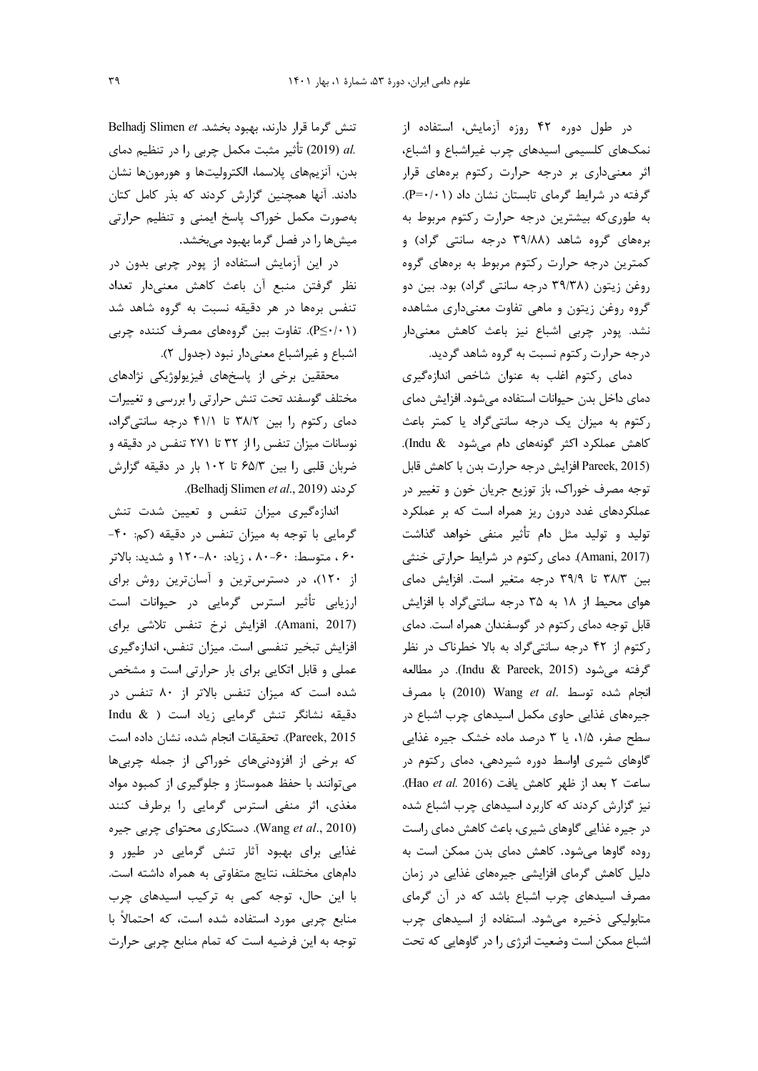در طول دوره ۴۲ روزه آزمایش، استفاده از نمکهای کلسیمی اسیدهای چرب غیراشباع و اشباع، اثر معنیداری بر درجه حرارت رکتوم برههای قرار گرفته در شرایط گرمای تابستان نشان داد (P=٠/٠١). به طوری که بیشترین درجه حرارت رکتوم مربوط به برههای گروه شاهد (۳۹/۸۸ درجه سانتی گراد) و کمترین درجه حرارت رکتوم مربوط به برههای گروه روغن زیتون (۳۹/۳۸ درجه سانتی گراد) بود. بین دو گروه روغن زیتون و ماهی تفاوت معنیداری مشاهده نشد. پودر چربی اشباع نیز باعث کاهش معنیدار درجه حرارت رکتوم نسبت به گروه شاهد گردید.

دمای رکتوم اغلب به عنوان شاخص اندازهگیری دمای داخل بدن حیوانات استفاده میشود. افزایش دمای رکتوم به میزان یک درجه سانتیگراد یا کمتر باعث كاهش عملكرد اكثر گونههاى دام مى شود Indu & Pareek, 2015) افزایش درجه حرارت بدن با کاهش قابل توجه مصرف خوراک، باز توزیع جریان خون و تغییر در عملکردهای غدد درون ریز همراه است که بر عملکرد تولید و تولید مثل دام تأثیر منفی خواهد گذاشت (Amani, 2017). دمای رکتوم در شرایط حرارتی خنثی بین ۳۸/۳ تا ۳۹/۹ درجه متغیر است. افزایش دمای هوای محیط از ۱۸ به ۳۵ درجه سانتیگراد با افزایش قابل توجه دمای رکتوم در گوسفندان همراه است. دمای رکتوم از ۴۲ درجه سانتی گراد به بالا خطرناک در نظر گرفته می شود (Indu & Pareek, 2015). در مطالعه انجام شده توسط .Wang et al (2010) با مصرف جیرههای غذایی حاوی مکمل اسیدهای چرب اشباع در سطح صفر، ۱/۵، یا ۳ درصد ماده خشک جیره غذایی گاوهای شیری اواسط دوره شیردهی، دمای رکتوم در ساعت ٢ بعد از ظهر كاهش يافت (Hao et al. 2016). نیز گزارش کردند که کاربرد اسیدهای چرب اشباع شده در جیره غذایی گاوهای شیری، باعث کاهش دمای راست روده گاوها می شود. کاهش دمای بدن ممکن است به دلیل کاهش گرمای افزایشی جیرههای غذایی در زمان مصرف اسیدهای چرب اشباع باشد که در آن گرمای متابولیکی ذخیره می شود. استفاده از اسیدهای چرب اشباع ممکن است وضعیت انرژی را در گاوهایی که تحت

تنش گرما قرار دارند، بهبود بخشد. Belhadj Slimen et .al (2019) تأثير مثبت مكمل چربي را در تنظيم دماي بدن، آنزیمهای پلاسما، الکترولیتها و هورمونها نشان دادند. آنها همچنین گزارش کردند که بذر کامل کتان بهصورت مكمل خوراك پاسخ ايمنى و تنظيم حرارتى میشها را در فصل گرما بهبود میبخشد.

در این آزمایش استفاده از پودر چربی بدون در نظر گرفتن منبع آن باعث كاهش معنىدار تعداد تنفس برهها در هر دقیقه نسبت به گروه شاهد شد (P≤·/·۱). تفاوت بین گروههای مصرف کننده چربی اشباع و غيراشباع معنى دار نبود (جدول ٢).

محققین برخی از پاسخهای فیزیولوژیکی نژادهای مختلف گوسفند تحت تنش حرارتی را بررسی و تغییرات دمای رکتوم را بین ۳۸/۲ تا ۴۱/۱ درجه سانتیگراد، نوسانات میزان تنفس را از ۳۲ تا ۲۷۱ تنفس در دقیقه و ضربان قلبی را بین ۶۵/۳ تا ۱۰۲ بار در دقیقه گزارش .(Belhadj Slimen et al., 2019).

اندازهگیری میزان تنفس و تعیین شدت تنش گرمایی با توجه به میزان تنفس در دقیقه (کم: ۴۰-۶۰، متوسط: ۶۰–۸۰، زیاد: ۸۰–۱۲۰ و شدید: بالاتر از ۱۲۰)، در دسترس ترین و آسان ترین روش برای ارزیابی تأثیر استرس گرمایی در حیوانات است (Amani, 2017). افزایش نرخ تنفس تلاشی برای افزایش تبخیر تنفسی است. میزان تنفس، اندازهگیری عملی و قابل اتکایی برای بار حرارتی است و مشخص شده است که میزان تنفس بالاتر از ۸۰ تنفس در دقیقه نشانگر تنش گرمایی زیاد است ( & Indu Pareek, 2015). تحقيقات انجام شده، نشان داده است که برخی از افزودنیهای خوراکی از جمله چربیها می توانند با حفظ هموستاز و جلوگیری از کمبود مواد مغذی، اثر منفی استرس گرمایی را برطرف کنند (Wang et al., 2010). دستکاری محتوای چربی جیره غذایی برای بهبود آثار تنش گرمایی در طیور و دامهای مختلف، نتایج متفاوتی به همراه داشته است. با این حال، توجه کمی به ترکیب اسیدهای چرب منابع چربی مورد استفاده شده است، که احتمالاً با توجه به این فرضیه است که تمام منابع چربی حرارت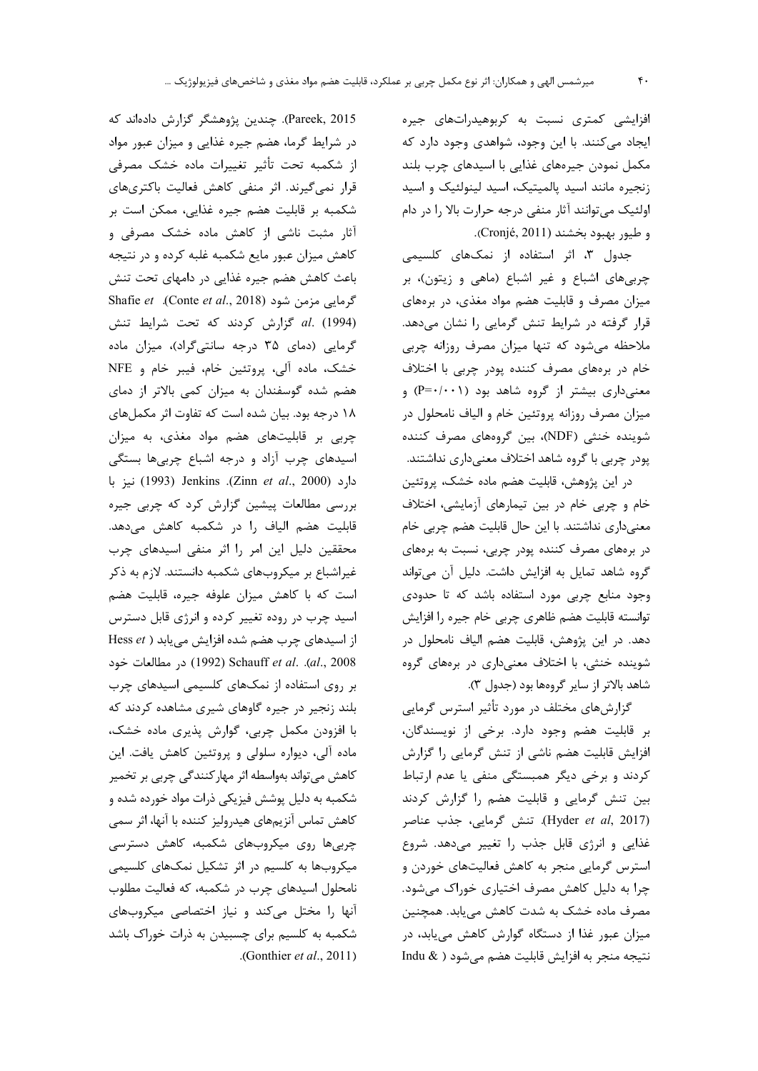افزایشی کمتری نسبت به کربوهیدراتهای جیره ایجاد میکنند. با این وجود، شواهدی وجود دارد که مکمل نمودن جیرههای غذایی با اسیدهای چرب بلند زنجیره مانند اسید پالمیتیک، اسید لینولئیک و اسید اولئیک میتوانند آثار منفی درجه حرارت بالا را در دام و طيور بهبود بخشند (Cronjé, 2011).

جدول ۳، اثر استفاده از نمکهای کلسیمی چربی های اشباع و غیر اشباع (ماهی و زیتون)، بر میزان مصرف و قابلیت هضم مواد مغذی، در برههای قرار گرفته در شرایط تنش گرمایی را نشان میدهد. ملاحظه میشود که تنها میزان مصرف روزانه چربی خام در برههای مصرف کننده پودر چربی با اختلاف معنیداری بیشتر از گروه شاهد بود (P=۰/۰۰۱) و میزان مصرف روزانه پروتئین خام و الیاف نامحلول در شوینده خنثی (NDF)، بین گروههای مصرف کننده پودر چربی با گروه شاهد اختلاف معنیداری نداشتند.

در اين پژوهش، قابليت هضم ماده خشک، پروتئين خام و چربی خام در بین تیمارهای آزمایشی، اختلاف معنیداری نداشتند. با این حال قابلیت هضم چربی خام در برههای مصرف کننده پودر چربی، نسبت به برههای گروه شاهد تمایل به افزایش داشت. دلیل آن میتواند وجود منابع چربی مورد استفاده باشد که تا حدودی توانسته قابلیت هضم ظاهری چربی خام جیره را افزایش دهد. در این پژوهش، قابلیت هضم الیاف نامحلول در شوینده خنثی، با اختلاف معنیداری در برههای گروه شاهد بالاتر از سایر گروهها بود (جدول ۳).

گزارشهای مختلف در مورد تأثیر استرس گرمایی بر قابلیت هضم وجود دارد. برخی از نویسندگان، افزایش قابلیت هضم ناشی از تنش گرمایی را گزارش کردند و برخی دیگر همبستگی منفی یا عدم ارتباط بین تنش گرمایی و قابلیت هضم را گزارش کردند (Hyder et al, 2017). تنش گرمایی، جذب عناصر غذایی و انرژی قابل جذب را تغییر میدهد. شروع استرس گرمایی منجر به کاهش فعالیتهای خوردن و چرا به دلیل کاهش مصرف اختیاری خوراک میشود. مصرف ماده خشک به شدت کاهش می یابد. همچنین میزان عبور غذا از دستگاه گوارش کاهش می یابد، در نتيجه منجر به افزايش قابليت هضم مي شود ( & Indu

Pareek, 2015). چندین پژوهشگر گزارش دادهاند که در شرایط گرما، هضم جیره غذایی و میزان عبور مواد از شکمبه تحت تأثير تغييرات ماده خشک مصرفي قرار نمی گیرند. اثر منفی کاهش فعالیت باکتریهای شکمبه بر قابلیت هضم جیره غذایی، ممکن است بر آثار مثبت ناشی از کاهش ماده خشک مصرفی و کاهش میزان عبور مایع شکمبه غلبه کرده و در نتیجه باعث کاهش هضم جیره غذایی در دامهای تحت تنش Shafie et (Conte et al., 2018). Shafie et al. (1994) گزارش كردند كه تحت شرايط تنش گرمایی (دمای ۳۵ درجه سانتی گراد)، میزان ماده خشک، ماده آلی، پروتئین خام، فیبر خام و NFE هضم شده گوسفندان به میزان کمی بالاتر از دمای ۱۸ درجه بود. بیان شده است که تفاوت اثر مکملهای چربی بر قابلیتهای هضم مواد مغذی، به میزان اسیدهای چرب آزاد و درجه اشباع چربیها بستگی دارد (Zinn et al., 2000). Jenkins (2000) نيز با بررسی مطالعات پیشین گزارش کرد که چربی جیره قابلیت هضم الیاف را در شکمبه کاهش میدهد. محققین دلیل این امر را اثر منفی اسیدهای چرب غیراشباع بر میکروبهای شکمبه دانستند. لازم به ذکر است که با کاهش میزان علوفه جیره، قابلیت هضم اسید چرب در روده تغییر کرده و انرژی قابل دسترس از اسیدهای چرب هضم شده افزایش می یابد ( Hess et al., 2008). Schauff et al. .(al., 2008) در مطالعات خود بر روی استفاده از نمکهای کلسیمی اسیدهای چرب بلند زنجیر در جیره گاوهای شیری مشاهده کردند که با افزودن مکمل چربی، گوارش پذیری ماده خشک، ماده آلی، دیواره سلولی و پروتئین کاهش یافت. این کاهش میتواند بهواسطه اثر مهار کنندگی چربی بر تخمیر شکمبه به دلیل پوشش فیزیکی ذرات مواد خورده شده و كاهش تماس آنزيمهاى هيدروليز كننده با آنها، اثر سمى چربی ها روی میکروبهای شکمبه، کاهش دسترسی میکروبها به کلسیم در اثر تشکیل نمکهای کلسیمی نامحلول اسیدهای چرب در شکمبه، که فعالیت مطلوب آنها را مختل می کند و نیاز اختصاصی میکروبهای شکمبه به کلسیم برای چسبیدن به ذرات خوراک باشد .(Gonthier et al., 2011)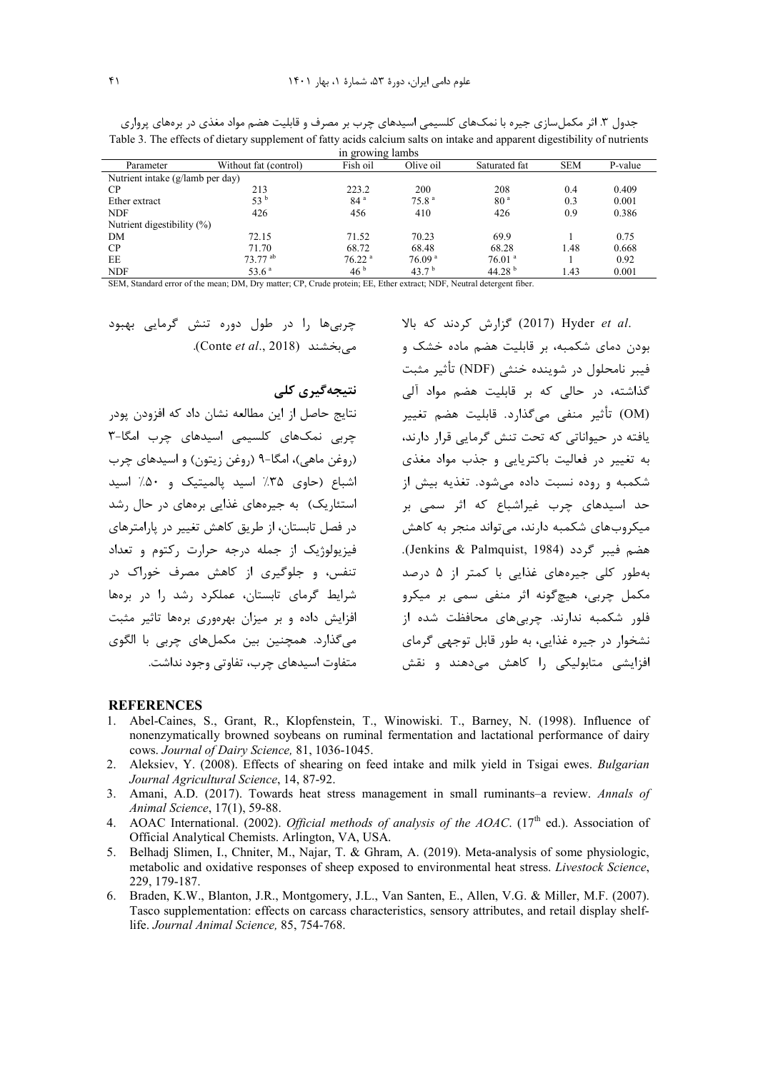| in growing lambs                 |                       |                      |                    |                      |            |         |  |  |  |
|----------------------------------|-----------------------|----------------------|--------------------|----------------------|------------|---------|--|--|--|
| Parameter                        | Without fat (control) | Fish oil             | Olive oil          | Saturated fat        | <b>SEM</b> | P-value |  |  |  |
| Nutrient intake (g/lamb per day) |                       |                      |                    |                      |            |         |  |  |  |
| $\mathbf{C}$ P                   | 213                   | 223.2                | 200                | 208                  | 0.4        | 0.409   |  |  |  |
| Ether extract                    | 53 b                  | 84 <sup>a</sup>      | 75.8 <sup>a</sup>  | 80 <sup>a</sup>      | 0.3        | 0.001   |  |  |  |
| <b>NDF</b>                       | 426                   | 456                  | 410                | 426                  | 0.9        | 0.386   |  |  |  |
| Nutrient digestibility $(\%)$    |                       |                      |                    |                      |            |         |  |  |  |
| DM                               | 72.15                 | 71.52                | 70.23              | 69.9                 |            | 0.75    |  |  |  |
| CP                               | 71.70                 | 68.72                | 68.48              | 68.28                | 1.48       | 0.668   |  |  |  |
| EE                               | $73.77$ <sup>ab</sup> | $76.22$ <sup>a</sup> | 76.09 <sup>a</sup> | $76.01$ <sup>a</sup> |            | 0.92    |  |  |  |
| <b>NIDE</b>                      | 526a                  | 46 <sup>b</sup>      | 127b               | 44.20 b              | 1/42       | 0.001   |  |  |  |

جدول ۳. اثر مکملسازی جیره با نمکهای کلسیمی اسیدهای چرب بر مصرف و قابلیت هضم مواد مغذی در برههای پرواری Table 3. The effects of dietary supplement of fatty acids calcium salts on intake and apparent digestibility of nutrients

SEM, Standard error of the mean; DM, Dry matter; CP, Crude protein; EE, Ether extract; NDF, Neutral detergent fiber.

چربے ها را در طول دورہ تنش گرمایے بھبود م بخشند (Conte et al., 2018).

### نتیجەگیری کلی

نتايج حاصل از اين مطالعه نشان داد كه افزودن پودر چربی نمکهای کلسیمی اسیدهای چرب امگا-٣ (روغن ماهي)، امگا-۹ (روغن زيتون) و اسيدهاي چرب اشباع (حاوی ۳۵٪ اسید پالمیتیک و ۵۰٪ اسید استئاریک) به جیرههای غذایی برههای در حال رشد در فصل تابستان، از طریق کاهش تغییر در پارامترهای فيزيولوژيک از جمله درجه حرارت رکتوم و تعداد تنفس، و جلوگیری از کاهش مصرف خوراک در شرایط گرمای تابستان، عملکرد رشد را در برمها افزایش داده و بر میزان بهرهوری برهها تاثیر مثبت مي گذارد. همچنين بين مكملهاي چربي با الگوي متفاوت اسیدهای چرب، تفاوتی وجود نداشت. .2017) Hyder et al (2017) گزارش کردند که بالا بودن دمای شکمبه، بر قابلیت هضم ماده خشک و فيبر نامحلول در شوينده خنثى (NDF) تأثير مثبت گذاشته، در حالی که بر قابلیت هضم مواد آلی (OM) تأثير منفي مي *گ*ذارد. قابليت هضم تغيير .<br>یافته در حیواناتی که تحت تنش گرمایی قرار دارند، به تغییر در فعالیت باکتریایی و جذب مواد مغذی شکمبه و روده نسبت داده می شود. تغذیه بیش از حد اسیدهای چرب غیراشباع که اثر سمی بر میکروبهای شکمبه دارند، می تواند منجر به کاهش هضم فيبر گردد (Jenkins & Palmquist, 1984). بهطور کلی جیرههای غذایی با کمتر از ۵ درصد .<br>مکمل چربی، هیچ *گ*ونه اثر منفی سمی بر میکرو فلور شکمبه ندارند. چربیهای محافظت شده از نشخوار در جیره غذایی، به طور قابل توجهی گرمای افزایشی متابولیکی را کاهش میدهند و نقش

#### **REFERENCES**

- Abel-Caines, S., Grant, R., Klopfenstein, T., Winowiski. T., Barney, N. (1998). Influence of nonenzymatically browned soybeans on ruminal fermentation and lactational performance of dairy cows. Journal of Dairy Science, 81, 1036-1045.
- 2. Aleksiev, Y. (2008). Effects of shearing on feed intake and milk yield in Tsigai ewes. Bulgarian Journal Agricultural Science, 14, 87-92.
- 3. Amani, A.D. (2017). Towards heat stress management in small ruminants-a review. Annals of Animal Science, 17(1), 59-88.
- 4. AOAC International. (2002). Official methods of analysis of the AOAC. (17<sup>th</sup> ed.). Association of Official Analytical Chemists. Arlington, VA, USA.
- 5. Belhadj Slimen, I., Chniter, M., Najar, T. & Ghram, A. (2019). Meta-analysis of some physiologic, metabolic and oxidative responses of sheep exposed to environmental heat stress. *Livestock Science*, 229, 179-187.
- 6. Braden, K.W., Blanton, J.R., Montgomery, J.L., Van Santen, E., Allen, V.G. & Miller, M.F. (2007). Tasco supplementation: effects on carcass characteristics, sensory attributes, and retail display shelflife. Journal Animal Science, 85, 754-768.